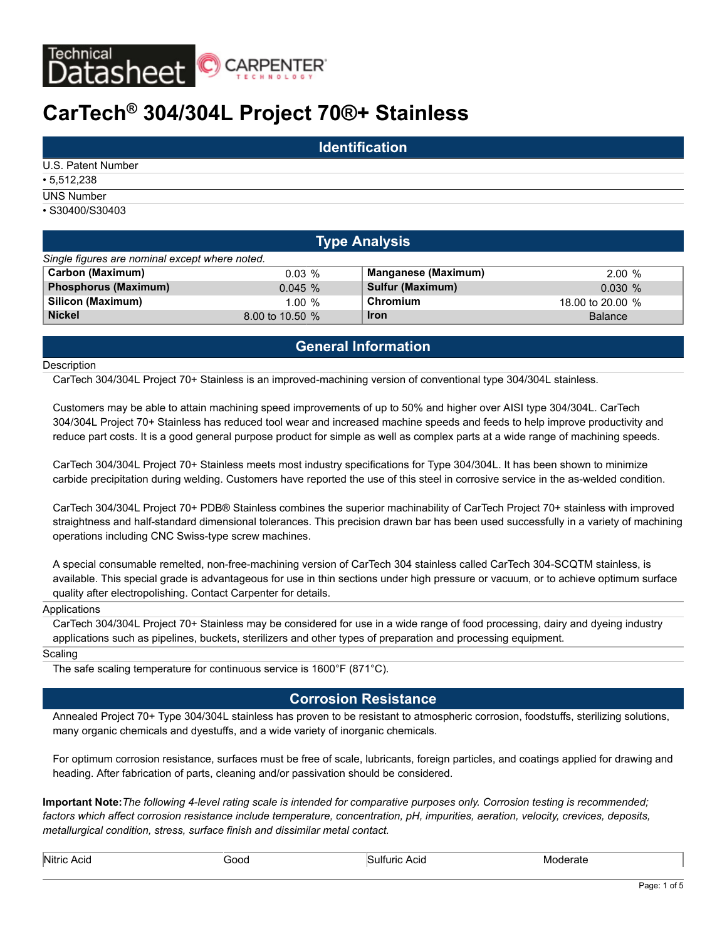

# **CarTech® 304/304L Project 70®+ Stainless**

|                    | <b>Identification</b> |  |
|--------------------|-----------------------|--|
| U.S. Patent Number |                       |  |
| $\cdot$ 5,512,238  |                       |  |
| <b>UNS Number</b>  |                       |  |
| • S30400/S30403    |                       |  |

|                                                | <b>Type Analysis</b> |                            |                  |  |  |  |  |  |  |  |
|------------------------------------------------|----------------------|----------------------------|------------------|--|--|--|--|--|--|--|
| Single figures are nominal except where noted. |                      |                            |                  |  |  |  |  |  |  |  |
| <b>Carbon (Maximum)</b>                        | $0.03\%$             | <b>Manganese (Maximum)</b> | 2.00 %           |  |  |  |  |  |  |  |
| <b>Phosphorus (Maximum)</b>                    | 0.045%               | <b>Sulfur (Maximum)</b>    | 0.030%           |  |  |  |  |  |  |  |
| Silicon (Maximum)                              | $1.00 \%$            | Chromium                   | 18,00 to 20,00 % |  |  |  |  |  |  |  |
| <b>Nickel</b>                                  | 8.00 to 10.50 %      | <b>Iron</b>                | <b>Balance</b>   |  |  |  |  |  |  |  |

# **General Information**

#### **Description**

CarTech 304/304L Project 70+ Stainless is an improved-machining version of conventional type 304/304L stainless.

Customers may be able to attain machining speed improvements of up to 50% and higher over AISI type 304/304L. CarTech 304/304L Project 70+ Stainless has reduced tool wear and increased machine speeds and feeds to help improve productivity and reduce part costs. It is a good general purpose product for simple as well as complex parts at a wide range of machining speeds.

CarTech 304/304L Project 70+ Stainless meets most industry specifications for Type 304/304L. It has been shown to minimize carbide precipitation during welding. Customers have reported the use of this steel in corrosive service in the as-welded condition.

CarTech 304/304L Project 70+ PDB® Stainless combines the superior machinability of CarTech Project 70+ stainless with improved straightness and half-standard dimensional tolerances. This precision drawn bar has been used successfully in a variety of machining operations including CNC Swiss-type screw machines.

A special consumable remelted, non-free-machining version of CarTech 304 stainless called CarTech 304-SCQTM stainless, is available. This special grade is advantageous for use in thin sections under high pressure or vacuum, or to achieve optimum surface quality after electropolishing. Contact Carpenter for details.

#### Applications

CarTech 304/304L Project 70+ Stainless may be considered for use in a wide range of food processing, dairy and dyeing industry applications such as pipelines, buckets, sterilizers and other types of preparation and processing equipment.

#### Scaling

The safe scaling temperature for continuous service is 1600°F (871°C).

### **Corrosion Resistance**

Annealed Project 70+ Type 304/304L stainless has proven to be resistant to atmospheric corrosion, foodstuffs, sterilizing solutions, many organic chemicals and dyestuffs, and a wide variety of inorganic chemicals.

For optimum corrosion resistance, surfaces must be free of scale, lubricants, foreign particles, and coatings applied for drawing and heading. After fabrication of parts, cleaning and/or passivation should be considered.

**Important Note:***The following 4-level rating scale is intended for comparative purposes only. Corrosion testing is recommended; factors which affect corrosion resistance include temperature, concentration, pH, impurities, aeration, velocity, crevices, deposits, metallurgical condition, stress, surface finish and dissimilar metal contact.*

| Nitric<br>יייי<br>1.4.101101010 | ורזר<br>$-$ - - - | ACIC |  |
|---------------------------------|-------------------|------|--|
|                                 |                   |      |  |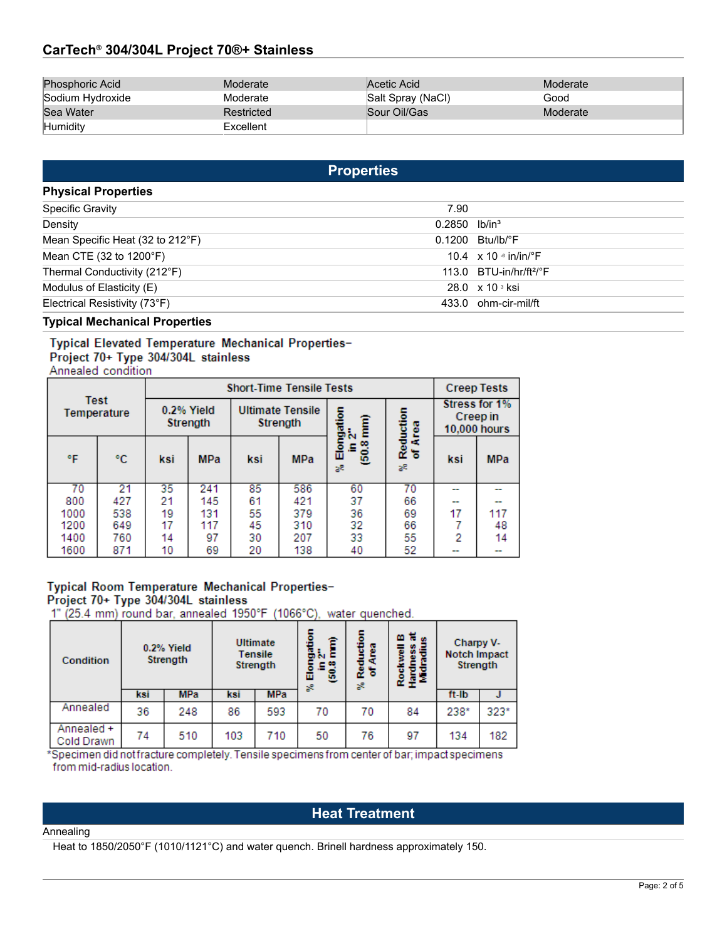# **CarTech® 304/304L Project 70®+ Stainless**

| Phosphoric Acid  | Moderate   | Acetic Acid       | Moderate |
|------------------|------------|-------------------|----------|
| Sodium Hydroxide | Moderate   | Salt Spray (NaCl) | Good     |
| Sea Water        | Restricted | Sour Oil/Gas      | Moderate |
| Humidity         | Excellent  |                   |          |

# **Properties**

| <b>Physical Properties</b>       |                             |                                           |
|----------------------------------|-----------------------------|-------------------------------------------|
| <b>Specific Gravity</b>          | 7.90                        |                                           |
| Density                          | $0.2850$ lb/in <sup>3</sup> |                                           |
| Mean Specific Heat (32 to 212°F) |                             | $0.1200$ Btu/lb/ $\degree$ F              |
| Mean CTE (32 to 1200°F)          |                             | 10.4 $\times$ 10 $\cdot$ in/in/ $\cdot$ F |
| Thermal Conductivity (212°F)     |                             | 113.0 $BTU-in/hr/ft2/°F$                  |
| Modulus of Elasticity (E)        |                             | 28.0 $\times$ 10 $\frac{3}{10}$ ksi       |
| Electrical Resistivity (73°F)    |                             | 433.0 ohm-cir-mil/ft                      |

### **Typical Mechanical Properties**

### Typical Elevated Temperature Mechanical Properties-

# Project 70+ Type 304/304L stainless

Annealed condition

|      |                     | <b>Short-Time Tensile Tests</b> |            |                                     |            |                  |    |                                             | <b>Creep Tests</b> |  |                                           |
|------|---------------------|---------------------------------|------------|-------------------------------------|------------|------------------|----|---------------------------------------------|--------------------|--|-------------------------------------------|
|      | Test<br>Temperature | 0.2% Yield<br><b>Strength</b>   |            | <b>Ultimate Tensile</b><br>Strength |            |                  |    | ngation<br>12"<br>Reduction<br>of Area<br>Ê |                    |  | Stress for 1%<br>Creep in<br>10,000 hours |
| °F   | °C                  | ksi                             | <b>MPa</b> | ksi                                 | <b>MPa</b> | œ<br>룹<br>8<br>æ | æ  | ksi                                         | <b>MPa</b>         |  |                                           |
| 70   | 21                  | 35                              | 241        | 85                                  | 586        | 60               | 70 |                                             |                    |  |                                           |
| 800  | 427                 | 21                              | 145        | 61                                  | 421        | 37               | 66 | --                                          |                    |  |                                           |
| 1000 | 538                 | 19                              | 131        | 55                                  | 379        | 36               | 69 | 17                                          | 117                |  |                                           |
| 1200 | 649                 | 17                              | 117        | 45                                  | 310        | 32               | 66 |                                             | 48                 |  |                                           |
| 1400 | 760                 | 14                              | 97         | 30                                  | 207        | 33               | 55 | 2                                           | 14                 |  |                                           |
| 1600 | 871                 | 10                              | 69         | 20                                  | 138        | 40               | 52 | --                                          | --                 |  |                                           |

# Typical Room Temperature Mechanical Properties-Project 70+ Type 304/304L stainless

1" (25.4 mm) round bar, annealed 1950°F (1066°C), water quenched.

| Condition                | 0.2% Yield<br>Strength |            |     | Ultimate<br><b>Tensile</b><br>Strength |    | 5<br>B<br>Ë<br>Redu<br>a<br>ъ<br>s. | 甘山<br>m<br>噐<br>₩<br><b>Red</b><br>훞화 | Charpy V-<br><b>Notch Impact</b><br>Strength |        |
|--------------------------|------------------------|------------|-----|----------------------------------------|----|-------------------------------------|---------------------------------------|----------------------------------------------|--------|
|                          | ksi                    | <b>MPa</b> | ksi | <b>MPa</b>                             | ಜಿ |                                     |                                       | ft-lb                                        |        |
| Annealed                 | 36                     | 248        | 86  | 593                                    | 70 | 70                                  | 84                                    | 238*                                         | $323*$ |
| Annealed +<br>Cold Drawn | 74                     | 510        | 103 | 710                                    | 50 | 76                                  | 97                                    | 134                                          | 182    |

\*Specimen did notfracture completely. Tensile specimens from center of bar; impact specimens from mid-radius location.

# **Heat Treatment**

#### Annealing

Heat to 1850/2050°F (1010/1121°C) and water quench. Brinell hardness approximately 150.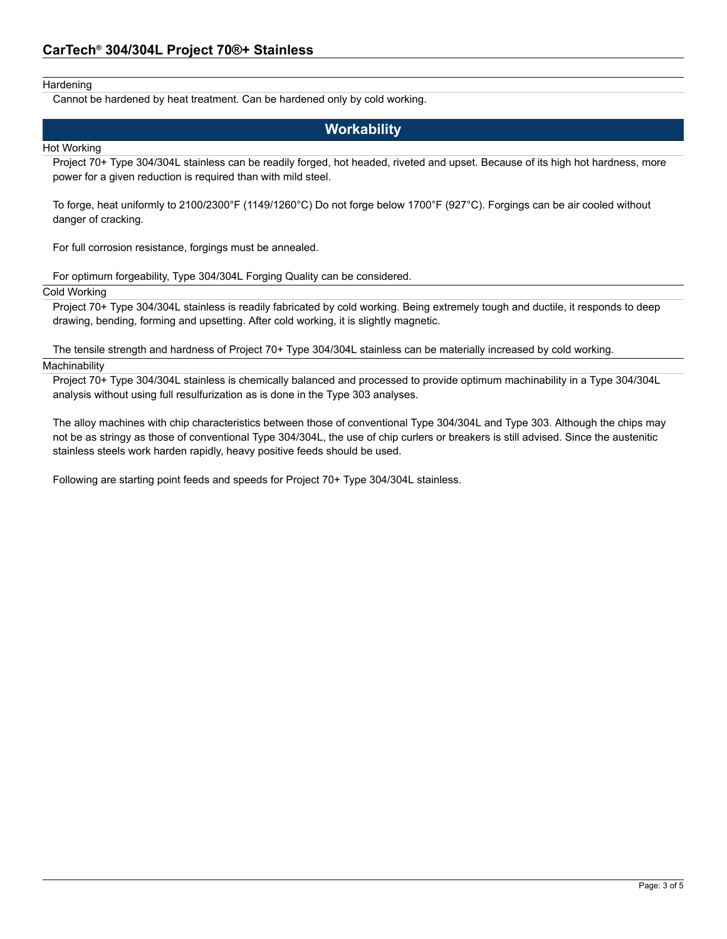### Hardening

Cannot be hardened by heat treatment. Can be hardened only by cold working.

# **Workability**

#### Hot Working

Project 70+ Type 304/304L stainless can be readily forged, hot headed, riveted and upset. Because of its high hot hardness, more power for a given reduction is required than with mild steel.

To forge, heat uniformly to 2100/2300°F (1149/1260°C) Do not forge below 1700°F (927°C). Forgings can be air cooled without danger of cracking.

For full corrosion resistance, forgings must be annealed.

For optimum forgeability, Type 304/304L Forging Quality can be considered.

### Cold Working

Project 70+ Type 304/304L stainless is readily fabricated by cold working. Being extremely tough and ductile, it responds to deep drawing, bending, forming and upsetting. After cold working, it is slightly magnetic.

The tensile strength and hardness of Project 70+ Type 304/304L stainless can be materially increased by cold working. **Machinability** 

Project 70+ Type 304/304L stainless is chemically balanced and processed to provide optimum machinability in a Type 304/304L analysis without using full resulfurization as is done in the Type 303 analyses.

The alloy machines with chip characteristics between those of conventional Type 304/304L and Type 303. Although the chips may not be as stringy as those of conventional Type 304/304L, the use of chip curlers or breakers is still advised. Since the austenitic stainless steels work harden rapidly, heavy positive feeds should be used.

Following are starting point feeds and speeds for Project 70+ Type 304/304L stainless.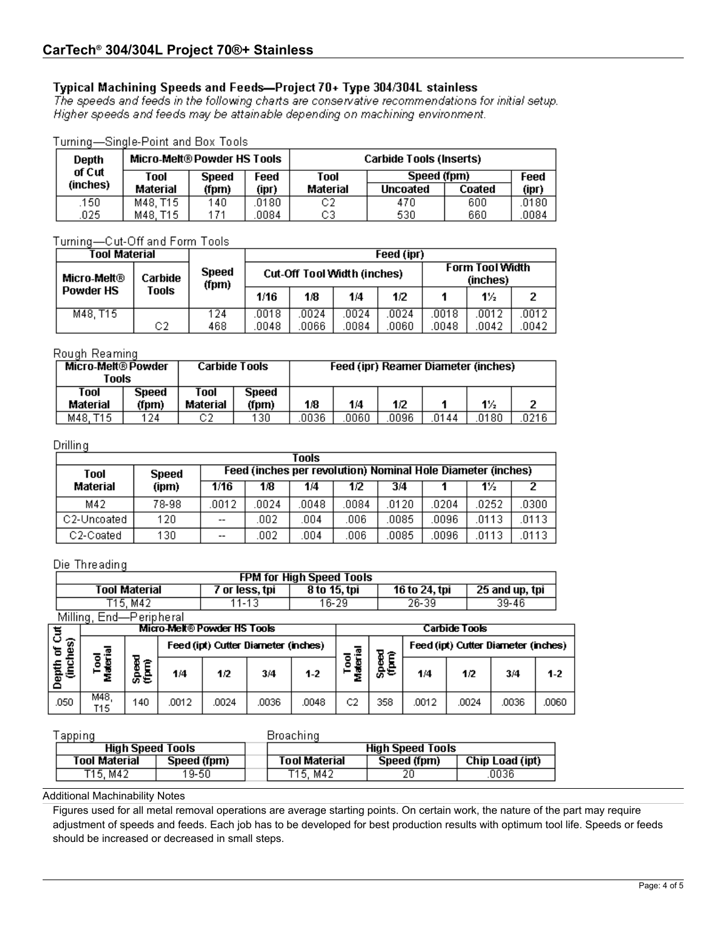# Typical Machining Speeds and Feeds-Project 70+ Type 304/304L stainless

The speeds and feeds in the following charts are conservative recommendations for initial setup. Higher speeds and feeds may be attainable depending on machining environment.

| Turning—Single-Point and Box Tools. |  |
|-------------------------------------|--|
|-------------------------------------|--|

| Depth    | <b>Micro-Melt® Powder HS Tools</b> |                      |       | Carbide Tools (Inserts) |                 |        |       |  |
|----------|------------------------------------|----------------------|-------|-------------------------|-----------------|--------|-------|--|
| of Cut   | Tool                               | Feed<br><b>Speed</b> |       | Tool                    | Speed (fpm)     |        | Feed  |  |
| (inches) | Material                           | (fpm)                | (ipr) | Material                | <b>Uncoated</b> | Coated | (ipr) |  |
| .150     | M48. T15                           | 140                  | 0180  | C2                      | 470             | 600    | .0180 |  |
| 025      | M48. T15                           | 171                  | 0084  | C3                      | 530             | 660    | 0084. |  |

Turning-Cut-Off and Form Tools

| Tool Material    |         | Feed (ipr)            |       |      |                             |       |       |                                    |       |
|------------------|---------|-----------------------|-------|------|-----------------------------|-------|-------|------------------------------------|-------|
| Micro-Melt®      | Carbide | <b>Speed</b><br>(fpm) |       |      | Cut-Off Tool Width (inches) |       |       | <b>Form Tool Width</b><br>(inches) |       |
| <b>Powder HS</b> | Tools   |                       | 1/16  | 1/8  | 1/4                         | 1/2   |       | 1½                                 |       |
| M48, T15         |         | 124                   | .0018 | 0024 | 0024                        | .0024 | 0018  | .0012                              | .0012 |
|                  | C2      | 468                   | .0048 | 0066 | 0084                        | 0060  | .0048 | .0042                              | .0042 |

## Rough Reaming

| Micro-Melt® Powder<br>Tools |                |                  | <b>Carbide Tools</b> |      |      |      | Feed (ipr) Reamer Diameter (inches) |       |       |
|-----------------------------|----------------|------------------|----------------------|------|------|------|-------------------------------------|-------|-------|
| Tool<br>Material            | Speed<br>(fpm) | Tool<br>Material | Speed<br>(fpm)       | 1/8  | 1/4  | 1/2  |                                     | $1\%$ |       |
| M48. T15                    | 124            | C2               | 130                  | 0036 | 0060 | 0096 | 0144                                | 0180  | .0216 |

### Drilling

| Tools       |              |       |                                                             |       |       |       |      |       |       |
|-------------|--------------|-------|-------------------------------------------------------------|-------|-------|-------|------|-------|-------|
| Tool        | <b>Speed</b> |       | Feed (inches per revolution) Nominal Hole Diameter (inches) |       |       |       |      |       |       |
| Material    | (ipm)        | 1/16  | 1/8                                                         | 1/4   | 1/2   | 3/4   |      | $1\%$ |       |
| M42         | 78-98        | .0012 | 0024                                                        | .0048 | .0084 | .0120 | 0204 | .0252 | .0300 |
| C2-Uncoated | 120          | $- -$ | 002                                                         | 004   | .006  | .0085 | 0096 | .0113 | 0113  |
| C2-Coated   | 130          | $- -$ | .002                                                        | .004  | .006  | .0085 | 0096 | .0113 | .0113 |

### Die Threading

|                | <b>FPM for High Speed Tools</b> |                      |                                     |                |       |              |                      |                     |                                     |       |                |       |  |
|----------------|---------------------------------|----------------------|-------------------------------------|----------------|-------|--------------|----------------------|---------------------|-------------------------------------|-------|----------------|-------|--|
|                |                                 | <b>Tool Material</b> |                                     | 7 or less, tpi |       | 8 to 15, tpi |                      |                     | 16 to 24, tpi                       |       | 25 and up, tpi |       |  |
| T15, M42       |                                 |                      | 11-13                               |                | 16-29 |              |                      | $26 - 39$           |                                     | 39-46 |                |       |  |
|                | Milling, End-Peripheral         |                      |                                     |                |       |              |                      |                     |                                     |       |                |       |  |
|                | Micro-Melt® Powder HS Tools     |                      |                                     |                |       |              | <b>Carbide Tools</b> |                     |                                     |       |                |       |  |
| of Cut         | 薀                               |                      | Feed (ipt) Cutter Diameter (inches) |                |       |              | 쿋<br>6               |                     | Feed (ipt) Cutter Diameter (inches) |       |                |       |  |
| Depth<br>(incl | Tool<br>ヱ                       | o<br>a<br>Se         | 1/4                                 | 1/2            | 3/4   | $1-2$        | Ξ<br>۰<br>煛          | <b>Speed</b><br>CEO | 1/4                                 | 1/2   | 3/4            | $1-2$ |  |
| .050           | M48.<br>T15.                    | 140                  | .0012                               | .0024          | .0036 | .0048        | C <sub>2</sub>       | 358                 | .0012                               | .0024 | .0036          | .0060 |  |

|                         | apping               |             |  | Broaching               |             |                 |  |  |  |
|-------------------------|----------------------|-------------|--|-------------------------|-------------|-----------------|--|--|--|
| <b>High Speed Tools</b> |                      |             |  | <b>High Speed Tools</b> |             |                 |  |  |  |
|                         | <b>Tool Material</b> | Speed (fpm) |  | <b>Tool Material</b>    | Speed (fpm) | Chip Load (ipt) |  |  |  |
|                         | T15, M42             | 19-50       |  | T15. M42                | 20          | 0036            |  |  |  |

Additional Machinability Notes

Figures used for all metal removal operations are average starting points. On certain work, the nature of the part may require adjustment of speeds and feeds. Each job has to be developed for best production results with optimum tool life. Speeds or feeds should be increased or decreased in small steps.